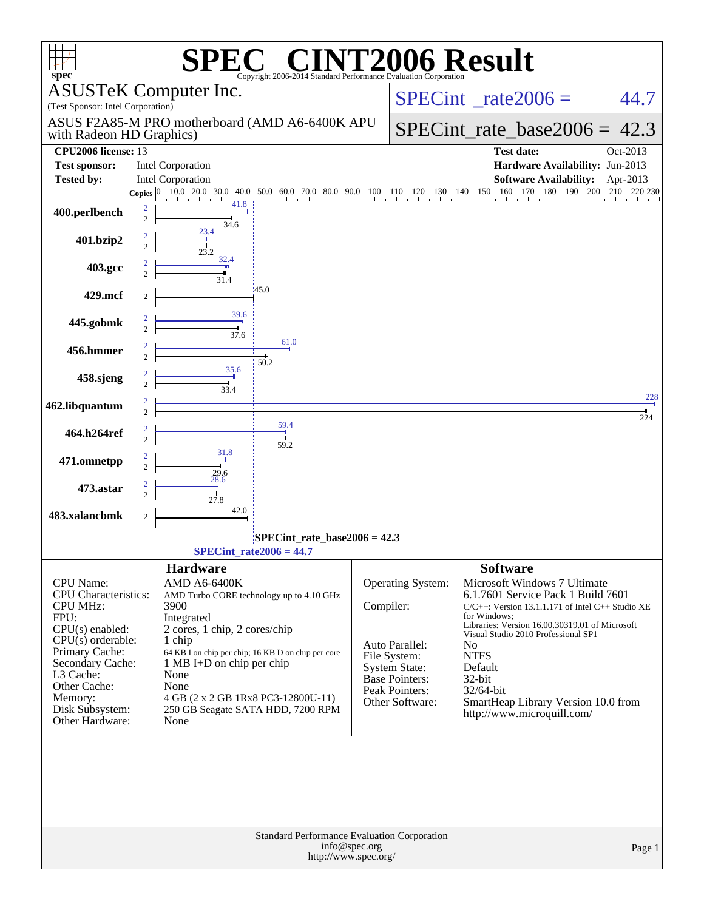| spec <sup>®</sup>                                                  |                     |                                                       | $\blacksquare$<br>Copyright 2006-2014 Standard Performance Evaluation Corporation |                                          |                                      | <b>NT2006 Result</b>                                                                                                                                                                                                                                                               |                |
|--------------------------------------------------------------------|---------------------|-------------------------------------------------------|-----------------------------------------------------------------------------------|------------------------------------------|--------------------------------------|------------------------------------------------------------------------------------------------------------------------------------------------------------------------------------------------------------------------------------------------------------------------------------|----------------|
| (Test Sponsor: Intel Corporation)                                  |                     | <b>ASUSTeK Computer Inc.</b>                          |                                                                                   | $SPECint^{\circ}$ <sub>_rate2006</sub> = | 44.7                                 |                                                                                                                                                                                                                                                                                    |                |
| with Radeon HD Graphics)                                           |                     | ASUS F2A85-M PRO motherboard (AMD A6-6400K APU        |                                                                                   | $SPECint_rate_base2006 =$                | 42.3                                 |                                                                                                                                                                                                                                                                                    |                |
| <b>CPU2006</b> license: 13                                         |                     |                                                       |                                                                                   |                                          |                                      | <b>Test date:</b>                                                                                                                                                                                                                                                                  | Oct-2013       |
| <b>Test sponsor:</b>                                               |                     | Intel Corporation                                     |                                                                                   |                                          |                                      | Hardware Availability: Jun-2013                                                                                                                                                                                                                                                    |                |
| <b>Tested by:</b>                                                  |                     | Intel Corporation                                     |                                                                                   |                                          |                                      | <b>Software Availability:</b>                                                                                                                                                                                                                                                      | Apr-2013       |
|                                                                    | Copies $ 0 $        | 10.0 20.0<br>30.0<br>40.0                             | 80.0<br>60.0 70.0<br>50.0                                                         | 90.0<br>100                              | 130<br>110<br>120                    | 150<br>160<br>170<br>180<br>190<br>140<br>200<br>$\frac{1}{2}$ . The contract of the contract of the contract of the contract of the contract of the contract of the contract of the contract of the contract of the contract of the contract of the contract of the contract of t | 220 230<br>210 |
| 400.perlbench                                                      | 2<br>$\overline{c}$ | 41.8<br>34.6                                          |                                                                                   |                                          |                                      |                                                                                                                                                                                                                                                                                    |                |
| 401.bzip2                                                          |                     | 23.4<br>23.2                                          |                                                                                   |                                          |                                      |                                                                                                                                                                                                                                                                                    |                |
| 403.gcc                                                            |                     | 32.4<br>31.4                                          |                                                                                   |                                          |                                      |                                                                                                                                                                                                                                                                                    |                |
| 429.mcf                                                            | 2                   |                                                       | 45.0                                                                              |                                          |                                      |                                                                                                                                                                                                                                                                                    |                |
| 445.gobmk                                                          |                     | 39.6<br>$\frac{1}{37.6}$                              |                                                                                   |                                          |                                      |                                                                                                                                                                                                                                                                                    |                |
| 456.hmmer                                                          |                     |                                                       | 61.0<br>50.2                                                                      |                                          |                                      |                                                                                                                                                                                                                                                                                    |                |
| 458.sjeng                                                          |                     | 35.6<br>334                                           |                                                                                   |                                          |                                      |                                                                                                                                                                                                                                                                                    |                |
| 462.libquantum                                                     |                     |                                                       |                                                                                   |                                          |                                      |                                                                                                                                                                                                                                                                                    | 228<br>224     |
| 464.h264ref                                                        |                     |                                                       | 59.4<br>59.2                                                                      |                                          |                                      |                                                                                                                                                                                                                                                                                    |                |
| 471.omnetpp                                                        |                     | 31.8<br>29.6                                          |                                                                                   |                                          |                                      |                                                                                                                                                                                                                                                                                    |                |
| 473.astar                                                          |                     | 28.6<br>27.8                                          |                                                                                   |                                          |                                      |                                                                                                                                                                                                                                                                                    |                |
| 483.xalancbmk                                                      | $\boldsymbol{2}$    | 42.0                                                  |                                                                                   |                                          |                                      |                                                                                                                                                                                                                                                                                    |                |
| SPECint_rate_base2006 = 42.3                                       |                     |                                                       |                                                                                   |                                          |                                      |                                                                                                                                                                                                                                                                                    |                |
| $SPECint_rate2006 = 44.7$                                          |                     |                                                       |                                                                                   |                                          |                                      |                                                                                                                                                                                                                                                                                    |                |
| <b>CPU</b> Name:<br><b>CPU</b> Characteristics:<br><b>CPU MHz:</b> |                     | <b>Hardware</b><br><b>AMD A6-6400K</b><br>3900        | AMD Turbo CORE technology up to 4.10 GHz                                          | Compiler:                                | Operating System:                    | <b>Software</b><br>Microsoft Windows 7 Ultimate<br>6.1.7601 Service Pack 1 Build 7601<br>$C/C++$ : Version 13.1.1.171 of Intel $C++$ Studio XE                                                                                                                                     |                |
| FPU:<br>CPU(s) enabled:<br>$CPU(s)$ orderable:                     |                     | Integrated<br>2 cores, 1 chip, 2 cores/chip<br>1 chip |                                                                                   |                                          | Auto Parallel:                       | for Windows:<br>Libraries: Version 16.00.30319.01 of Microsoft<br>Visual Studio 2010 Professional SP1<br>N <sub>0</sub>                                                                                                                                                            |                |
| Primary Cache:<br>Secondary Cache:<br>L3 Cache:                    |                     | 1 MB I+D on chip per chip<br>None                     | 64 KB I on chip per chip; 16 KB D on chip per core                                |                                          | File System:<br><b>System State:</b> | <b>NTFS</b><br>Default                                                                                                                                                                                                                                                             |                |
| Other Cache:                                                       |                     | None                                                  |                                                                                   |                                          | Base Pointers:                       | 32-bit                                                                                                                                                                                                                                                                             |                |
| Memory:                                                            |                     | 4 GB (2 x 2 GB 1Rx8 PC3-12800U-11)                    |                                                                                   |                                          | Peak Pointers:<br>Other Software:    | 32/64-bit<br>SmartHeap Library Version 10.0 from                                                                                                                                                                                                                                   |                |
| Disk Subsystem:<br>Other Hardware:                                 |                     | None                                                  | 250 GB Seagate SATA HDD, 7200 RPM                                                 |                                          |                                      | http://www.microquill.com/                                                                                                                                                                                                                                                         |                |
|                                                                    |                     |                                                       |                                                                                   |                                          |                                      |                                                                                                                                                                                                                                                                                    |                |
|                                                                    |                     |                                                       | Standard Performance Evaluation Corporation<br>http://www.spec.org/               | info@spec.org                            |                                      |                                                                                                                                                                                                                                                                                    | Page 1         |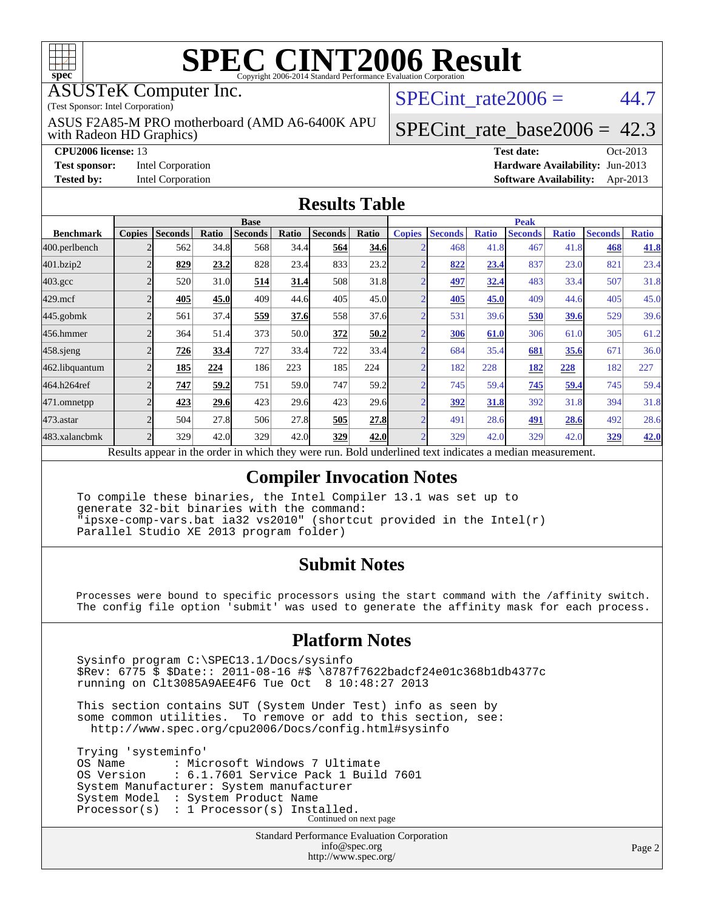

#### ASUSTeK Computer Inc.

(Test Sponsor: Intel Corporation)

with Radeon HD Graphics) ASUS F2A85-M PRO motherboard (AMD A6-6400K APU SPECint rate  $2006 = 44.7$ 

## [SPECint\\_rate\\_base2006 =](http://www.spec.org/auto/cpu2006/Docs/result-fields.html#SPECintratebase2006) 42.3

**[CPU2006 license:](http://www.spec.org/auto/cpu2006/Docs/result-fields.html#CPU2006license)** 13 **[Test date:](http://www.spec.org/auto/cpu2006/Docs/result-fields.html#Testdate)** Oct-2013

**[Test sponsor:](http://www.spec.org/auto/cpu2006/Docs/result-fields.html#Testsponsor)** Intel Corporation **[Hardware Availability:](http://www.spec.org/auto/cpu2006/Docs/result-fields.html#HardwareAvailability)** Jun-2013 **[Tested by:](http://www.spec.org/auto/cpu2006/Docs/result-fields.html#Testedby)** Intel Corporation **[Software Availability:](http://www.spec.org/auto/cpu2006/Docs/result-fields.html#SoftwareAvailability)** Apr-2013

#### **[Results Table](http://www.spec.org/auto/cpu2006/Docs/result-fields.html#ResultsTable)**

|                    | <b>Base</b>   |                |       |                                                                                                        |       |                |       | <b>Peak</b>    |                |              |                |              |                |              |
|--------------------|---------------|----------------|-------|--------------------------------------------------------------------------------------------------------|-------|----------------|-------|----------------|----------------|--------------|----------------|--------------|----------------|--------------|
| <b>Benchmark</b>   | <b>Copies</b> | <b>Seconds</b> | Ratio | <b>Seconds</b>                                                                                         | Ratio | <b>Seconds</b> | Ratio | <b>Copies</b>  | <b>Seconds</b> | <b>Ratio</b> | <b>Seconds</b> | <b>Ratio</b> | <b>Seconds</b> | <b>Ratio</b> |
| 400.perlbench      |               | 562            | 34.8  | 568                                                                                                    | 34.4  | 564            | 34.6  | C              | 468            | 41.8         | 467            | 41.8         | 468            | 41.8         |
| 401.bzip2          |               | 829            | 23.2  | 828                                                                                                    | 23.4  | 833            | 23.2  | $\overline{2}$ | 822            | 23.4         | 837            | 23.0         | 821            | 23.4         |
| $403.\mathrm{gcc}$ |               | 520            | 31.0  | 514                                                                                                    | 31.4  | 508            | 31.8  |                | <u>497</u>     | 32.4         | 483            | 33.4         | 507            | 31.8         |
| $429$ .mcf         |               | 405            | 45.0  | 409                                                                                                    | 44.6  | 405            | 45.0  | $\overline{2}$ | 405            | 45.0         | 409            | 44.6         | 405            | 45.0         |
| $445$ .gobm $k$    | $\bigcap$     | 561            | 37.4  | 559                                                                                                    | 37.6  | 558            | 37.6  | $\overline{2}$ | 531            | 39.6         | 530            | 39.6         | 529            | 39.6         |
| 456.hmmer          |               | 364            | 51.4  | 373                                                                                                    | 50.0  | 372            | 50.2  | n              | 306            | 61.0         | 306            | 61.0         | 305            | 61.2         |
| $458$ .sjeng       |               | 726            | 33.4  | 727                                                                                                    | 33.4  | 722            | 33.4  | $\overline{2}$ | 684            | 35.4         | 681            | 35.6         | 671            | 36.0         |
| 462.libquantum     |               | 185            | 224   | 186                                                                                                    | 223   | 185            | 224   | ⌒              | 182            | 228          | 182            | 228          | 182            | 227          |
| 464.h264ref        |               | 747            | 59.2  | 751                                                                                                    | 59.0  | 747            | 59.2  | ⌒              | 745            | 59.4         | 745            | 59.4         | 745            | 59.4         |
|                    |               | 423            | 29.6  | 423                                                                                                    | 29.6  | 423            | 29.6  | $\overline{2}$ | <u>392</u>     | 31.8         | 392            | 31.8         | 394            | 31.8         |
| 473.astar          |               | 504            | 27.8  | 506                                                                                                    | 27.8  | 505            | 27.8  | $\overline{2}$ | 491            | 28.6         | 491            | 28.6         | 492            | 28.6         |
| 483.xalancbmk      |               | 329            | 42.0  | 329                                                                                                    | 42.0  | 329            | 42.0  | n              | 329            | 42.0         | 329            | 42.0         | 329            | 42.0         |
| 471.omnetpp        |               |                |       | Decute ennear in the order in which they were run. Pold underlined text indicates a median measurement |       |                |       |                |                |              |                |              |                |              |

Results appear in the [order in which they were run.](http://www.spec.org/auto/cpu2006/Docs/result-fields.html#RunOrder) Bold underlined text [indicates a median measurement.](http://www.spec.org/auto/cpu2006/Docs/result-fields.html#Median)

#### **[Compiler Invocation Notes](http://www.spec.org/auto/cpu2006/Docs/result-fields.html#CompilerInvocationNotes)**

 To compile these binaries, the Intel Compiler 13.1 was set up to generate 32-bit binaries with the command: "ipsxe-comp-vars.bat ia32 vs2010" (shortcut provided in the Intel(r) Parallel Studio XE 2013 program folder)

#### **[Submit Notes](http://www.spec.org/auto/cpu2006/Docs/result-fields.html#SubmitNotes)**

 Processes were bound to specific processors using the start command with the /affinity switch. The config file option 'submit' was used to generate the affinity mask for each process.

#### **[Platform Notes](http://www.spec.org/auto/cpu2006/Docs/result-fields.html#PlatformNotes)**

 Sysinfo program C:\SPEC13.1/Docs/sysinfo \$Rev: 6775 \$ \$Date:: 2011-08-16 #\$ \8787f7622badcf24e01c368b1db4377c running on Clt3085A9AEE4F6 Tue Oct 8 10:48:27 2013

 This section contains SUT (System Under Test) info as seen by some common utilities. To remove or add to this section, see: <http://www.spec.org/cpu2006/Docs/config.html#sysinfo>

 Trying 'systeminfo' OS Name : Microsoft Windows 7 Ultimate<br>OS Version : 6.1.7601 Service Pack 1 Buile : 6.1.7601 Service Pack 1 Build 7601 System Manufacturer: System manufacturer System Model : System Product Name Processor(s) : 1 Processor(s) Installed. Continued on next page

> Standard Performance Evaluation Corporation [info@spec.org](mailto:info@spec.org) <http://www.spec.org/>

Page 2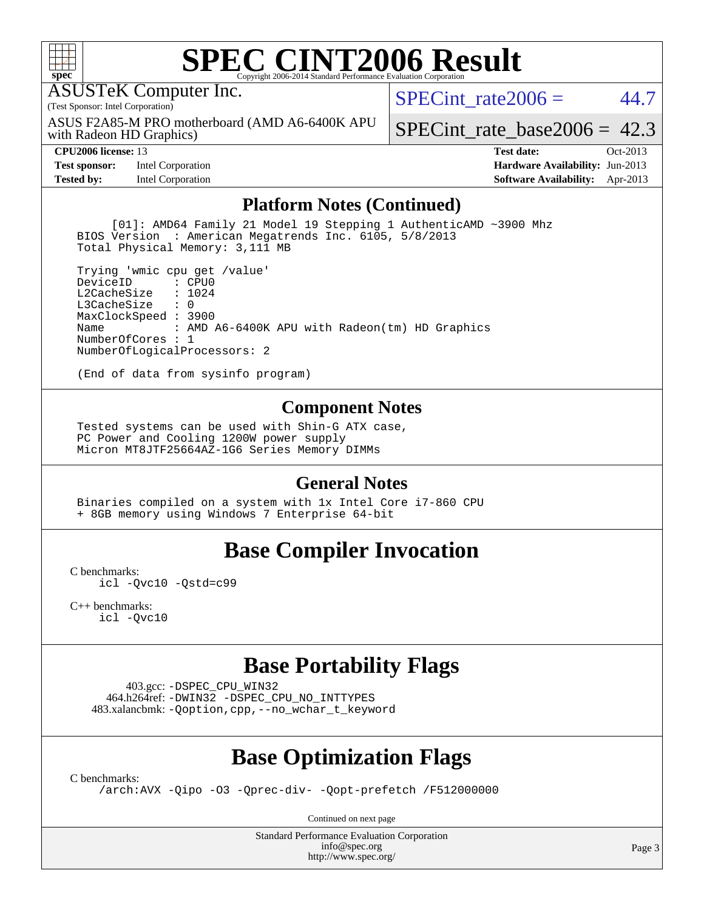

ASUSTeK Computer Inc.

(Test Sponsor: Intel Corporation)

with Radeon HD Graphics) ASUS F2A85-M PRO motherboard (AMD A6-6400K APU SPECint rate $2006 = 44.7$ 

[SPECint\\_rate\\_base2006 =](http://www.spec.org/auto/cpu2006/Docs/result-fields.html#SPECintratebase2006) 42.3

**[Test sponsor:](http://www.spec.org/auto/cpu2006/Docs/result-fields.html#Testsponsor)** Intel Corporation **[Hardware Availability:](http://www.spec.org/auto/cpu2006/Docs/result-fields.html#HardwareAvailability)** Jun-2013

**[CPU2006 license:](http://www.spec.org/auto/cpu2006/Docs/result-fields.html#CPU2006license)** 13 **[Test date:](http://www.spec.org/auto/cpu2006/Docs/result-fields.html#Testdate)** Oct-2013 **[Tested by:](http://www.spec.org/auto/cpu2006/Docs/result-fields.html#Testedby)** Intel Corporation **[Software Availability:](http://www.spec.org/auto/cpu2006/Docs/result-fields.html#SoftwareAvailability)** Apr-2013

#### **[Platform Notes \(Continued\)](http://www.spec.org/auto/cpu2006/Docs/result-fields.html#PlatformNotes)**

 [01]: AMD64 Family 21 Model 19 Stepping 1 AuthenticAMD ~3900 Mhz BIOS Version : American Megatrends Inc. 6105, 5/8/2013 Total Physical Memory: 3,111 MB

 Trying 'wmic cpu get /value' DeviceID L2CacheSize : 1024<br>L3CacheSize : 0  $L3$ Cache $Size$  MaxClockSpeed : 3900 Name : AMD A6-6400K APU with Radeon(tm) HD Graphics NumberOfCores : 1 NumberOfLogicalProcessors: 2

(End of data from sysinfo program)

#### **[Component Notes](http://www.spec.org/auto/cpu2006/Docs/result-fields.html#ComponentNotes)**

 Tested systems can be used with Shin-G ATX case, PC Power and Cooling 1200W power supply Micron MT8JTF25664AZ-1G6 Series Memory DIMMs

#### **[General Notes](http://www.spec.org/auto/cpu2006/Docs/result-fields.html#GeneralNotes)**

 Binaries compiled on a system with 1x Intel Core i7-860 CPU + 8GB memory using Windows 7 Enterprise 64-bit

## **[Base Compiler Invocation](http://www.spec.org/auto/cpu2006/Docs/result-fields.html#BaseCompilerInvocation)**

[C benchmarks](http://www.spec.org/auto/cpu2006/Docs/result-fields.html#Cbenchmarks): [icl -Qvc10](http://www.spec.org/cpu2006/results/res2014q3/cpu2006-20140630-30092.flags.html#user_CCbase_intel_icc_vc10_9607f3ecbcdf68042245f068e51b40c1) [-Qstd=c99](http://www.spec.org/cpu2006/results/res2014q3/cpu2006-20140630-30092.flags.html#user_CCbase_intel_compiler_c99_mode_1a3d110e3041b3ad4466830521bdad2a)

[C++ benchmarks:](http://www.spec.org/auto/cpu2006/Docs/result-fields.html#CXXbenchmarks) [icl -Qvc10](http://www.spec.org/cpu2006/results/res2014q3/cpu2006-20140630-30092.flags.html#user_CXXbase_intel_icc_vc10_9607f3ecbcdf68042245f068e51b40c1)

### **[Base Portability Flags](http://www.spec.org/auto/cpu2006/Docs/result-fields.html#BasePortabilityFlags)**

 403.gcc: [-DSPEC\\_CPU\\_WIN32](http://www.spec.org/cpu2006/results/res2014q3/cpu2006-20140630-30092.flags.html#b403.gcc_baseCPORTABILITY_DSPEC_CPU_WIN32) 464.h264ref: [-DWIN32](http://www.spec.org/cpu2006/results/res2014q3/cpu2006-20140630-30092.flags.html#b464.h264ref_baseCPORTABILITY_DWIN32) [-DSPEC\\_CPU\\_NO\\_INTTYPES](http://www.spec.org/cpu2006/results/res2014q3/cpu2006-20140630-30092.flags.html#b464.h264ref_baseCPORTABILITY_DSPEC_CPU_NO_INTTYPES) 483.xalancbmk: [-Qoption,cpp,--no\\_wchar\\_t\\_keyword](http://www.spec.org/cpu2006/results/res2014q3/cpu2006-20140630-30092.flags.html#user_baseCXXPORTABILITY483_xalancbmk_f-no_wchar_t_keyword_ec0ad4495a16b4e858bfcb29d949d25d)

# **[Base Optimization Flags](http://www.spec.org/auto/cpu2006/Docs/result-fields.html#BaseOptimizationFlags)**

[C benchmarks](http://www.spec.org/auto/cpu2006/Docs/result-fields.html#Cbenchmarks):

[/arch:AVX](http://www.spec.org/cpu2006/results/res2014q3/cpu2006-20140630-30092.flags.html#user_CCbase_f-archAVX_e8ab52e15dc7c67e0682fc680b79ed94) [-Qipo](http://www.spec.org/cpu2006/results/res2014q3/cpu2006-20140630-30092.flags.html#user_CCbase_f-Qipo) [-O3](http://www.spec.org/cpu2006/results/res2014q3/cpu2006-20140630-30092.flags.html#user_CCbase_f-O3) [-Qprec-div-](http://www.spec.org/cpu2006/results/res2014q3/cpu2006-20140630-30092.flags.html#user_CCbase_f-Qprec-div-) [-Qopt-prefetch](http://www.spec.org/cpu2006/results/res2014q3/cpu2006-20140630-30092.flags.html#user_CCbase_f-Qprefetch_37c211608666b9dff9380561f602f0a8) [/F512000000](http://www.spec.org/cpu2006/results/res2014q3/cpu2006-20140630-30092.flags.html#user_CCbase_set_stack_space_98438a10eb60aa5f35f4c79d9b9b27b1)

Continued on next page

Standard Performance Evaluation Corporation [info@spec.org](mailto:info@spec.org) <http://www.spec.org/>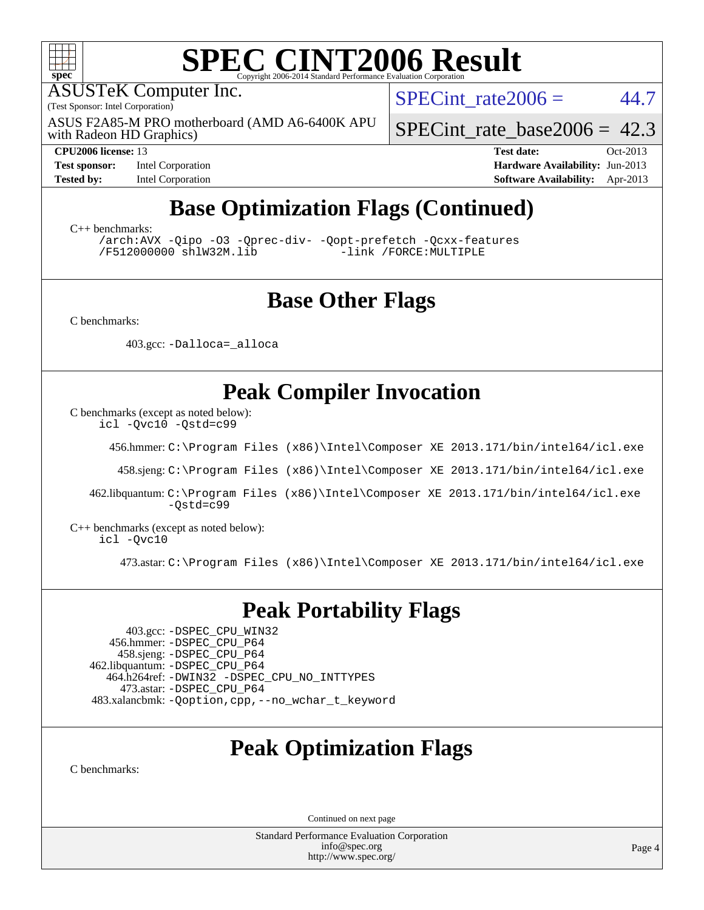

ASUSTeK Computer Inc.

(Test Sponsor: Intel Corporation)

with Radeon HD Graphics) ASUS F2A85-M PRO motherboard (AMD A6-6400K APU SPECint rate $2006 = 44.7$ 

[SPECint\\_rate\\_base2006 =](http://www.spec.org/auto/cpu2006/Docs/result-fields.html#SPECintratebase2006) 42.3

**[Test sponsor:](http://www.spec.org/auto/cpu2006/Docs/result-fields.html#Testsponsor)** Intel Corporation **[Hardware Availability:](http://www.spec.org/auto/cpu2006/Docs/result-fields.html#HardwareAvailability)** Jun-2013

**[CPU2006 license:](http://www.spec.org/auto/cpu2006/Docs/result-fields.html#CPU2006license)** 13 **[Test date:](http://www.spec.org/auto/cpu2006/Docs/result-fields.html#Testdate)** Oct-2013 **[Tested by:](http://www.spec.org/auto/cpu2006/Docs/result-fields.html#Testedby)** Intel Corporation **[Software Availability:](http://www.spec.org/auto/cpu2006/Docs/result-fields.html#SoftwareAvailability)** Apr-2013

# **[Base Optimization Flags \(Continued\)](http://www.spec.org/auto/cpu2006/Docs/result-fields.html#BaseOptimizationFlags)**

[C++ benchmarks:](http://www.spec.org/auto/cpu2006/Docs/result-fields.html#CXXbenchmarks)

[/arch:AVX](http://www.spec.org/cpu2006/results/res2014q3/cpu2006-20140630-30092.flags.html#user_CXXbase_f-archAVX_e8ab52e15dc7c67e0682fc680b79ed94) [-Qipo](http://www.spec.org/cpu2006/results/res2014q3/cpu2006-20140630-30092.flags.html#user_CXXbase_f-Qipo) [-O3](http://www.spec.org/cpu2006/results/res2014q3/cpu2006-20140630-30092.flags.html#user_CXXbase_f-O3) [-Qprec-div-](http://www.spec.org/cpu2006/results/res2014q3/cpu2006-20140630-30092.flags.html#user_CXXbase_f-Qprec-div-) [-Qopt-prefetch](http://www.spec.org/cpu2006/results/res2014q3/cpu2006-20140630-30092.flags.html#user_CXXbase_f-Qprefetch_37c211608666b9dff9380561f602f0a8) [-Qcxx-features](http://www.spec.org/cpu2006/results/res2014q3/cpu2006-20140630-30092.flags.html#user_CXXbase_f-Qcxx_features_dbf36c8a6dba956e22f1645e4dcd4d98) [/F512000000](http://www.spec.org/cpu2006/results/res2014q3/cpu2006-20140630-30092.flags.html#user_CXXbase_set_stack_space_98438a10eb60aa5f35f4c79d9b9b27b1) [shlW32M.lib](http://www.spec.org/cpu2006/results/res2014q3/cpu2006-20140630-30092.flags.html#user_CXXbase_SmartHeap32_d106338dfda1a055705c9b519e07f096)

## **[Base Other Flags](http://www.spec.org/auto/cpu2006/Docs/result-fields.html#BaseOtherFlags)**

[C benchmarks](http://www.spec.org/auto/cpu2006/Docs/result-fields.html#Cbenchmarks):

403.gcc: [-Dalloca=\\_alloca](http://www.spec.org/cpu2006/results/res2014q3/cpu2006-20140630-30092.flags.html#b403.gcc_baseEXTRA_CFLAGS_Dalloca_be3056838c12de2578596ca5467af7f3)

# **[Peak Compiler Invocation](http://www.spec.org/auto/cpu2006/Docs/result-fields.html#PeakCompilerInvocation)**

[C benchmarks \(except as noted below\)](http://www.spec.org/auto/cpu2006/Docs/result-fields.html#Cbenchmarksexceptasnotedbelow):

[icl -Qvc10](http://www.spec.org/cpu2006/results/res2014q3/cpu2006-20140630-30092.flags.html#user_CCpeak_intel_icc_vc10_9607f3ecbcdf68042245f068e51b40c1) [-Qstd=c99](http://www.spec.org/cpu2006/results/res2014q3/cpu2006-20140630-30092.flags.html#user_CCpeak_intel_compiler_c99_mode_1a3d110e3041b3ad4466830521bdad2a)

456.hmmer: [C:\Program Files \(x86\)\Intel\Composer XE 2013.171/bin/intel64/icl.exe](http://www.spec.org/cpu2006/results/res2014q3/cpu2006-20140630-30092.flags.html#user_peakCCLD456_hmmer_intel_icc_64bit_a47adb23ffeeb40a4c72a454746f326c)

458.sjeng: [C:\Program Files \(x86\)\Intel\Composer XE 2013.171/bin/intel64/icl.exe](http://www.spec.org/cpu2006/results/res2014q3/cpu2006-20140630-30092.flags.html#user_peakCCLD458_sjeng_intel_icc_64bit_a47adb23ffeeb40a4c72a454746f326c)

 462.libquantum: [C:\Program Files \(x86\)\Intel\Composer XE 2013.171/bin/intel64/icl.exe](http://www.spec.org/cpu2006/results/res2014q3/cpu2006-20140630-30092.flags.html#user_peakCCLD462_libquantum_intel_icc_64bit_a47adb23ffeeb40a4c72a454746f326c) [-Qstd=c99](http://www.spec.org/cpu2006/results/res2014q3/cpu2006-20140630-30092.flags.html#user_peakCCLD462_libquantum_intel_compiler_c99_mode_1a3d110e3041b3ad4466830521bdad2a)

[C++ benchmarks \(except as noted below\):](http://www.spec.org/auto/cpu2006/Docs/result-fields.html#CXXbenchmarksexceptasnotedbelow) [icl -Qvc10](http://www.spec.org/cpu2006/results/res2014q3/cpu2006-20140630-30092.flags.html#user_CXXpeak_intel_icc_vc10_9607f3ecbcdf68042245f068e51b40c1)

473.astar: [C:\Program Files \(x86\)\Intel\Composer XE 2013.171/bin/intel64/icl.exe](http://www.spec.org/cpu2006/results/res2014q3/cpu2006-20140630-30092.flags.html#user_peakCXXLD473_astar_intel_icc_64bit_a47adb23ffeeb40a4c72a454746f326c)

## **[Peak Portability Flags](http://www.spec.org/auto/cpu2006/Docs/result-fields.html#PeakPortabilityFlags)**

 403.gcc: [-DSPEC\\_CPU\\_WIN32](http://www.spec.org/cpu2006/results/res2014q3/cpu2006-20140630-30092.flags.html#b403.gcc_peakCPORTABILITY_DSPEC_CPU_WIN32) 456.hmmer: [-DSPEC\\_CPU\\_P64](http://www.spec.org/cpu2006/results/res2014q3/cpu2006-20140630-30092.flags.html#suite_peakPORTABILITY456_hmmer_DSPEC_CPU_P64) 458.sjeng: [-DSPEC\\_CPU\\_P64](http://www.spec.org/cpu2006/results/res2014q3/cpu2006-20140630-30092.flags.html#suite_peakPORTABILITY458_sjeng_DSPEC_CPU_P64) 462.libquantum: [-DSPEC\\_CPU\\_P64](http://www.spec.org/cpu2006/results/res2014q3/cpu2006-20140630-30092.flags.html#suite_peakPORTABILITY462_libquantum_DSPEC_CPU_P64) 464.h264ref: [-DWIN32](http://www.spec.org/cpu2006/results/res2014q3/cpu2006-20140630-30092.flags.html#b464.h264ref_peakCPORTABILITY_DWIN32) [-DSPEC\\_CPU\\_NO\\_INTTYPES](http://www.spec.org/cpu2006/results/res2014q3/cpu2006-20140630-30092.flags.html#b464.h264ref_peakCPORTABILITY_DSPEC_CPU_NO_INTTYPES) 473.astar: [-DSPEC\\_CPU\\_P64](http://www.spec.org/cpu2006/results/res2014q3/cpu2006-20140630-30092.flags.html#suite_peakPORTABILITY473_astar_DSPEC_CPU_P64) 483.xalancbmk: [-Qoption,cpp,--no\\_wchar\\_t\\_keyword](http://www.spec.org/cpu2006/results/res2014q3/cpu2006-20140630-30092.flags.html#user_peakCXXPORTABILITY483_xalancbmk_f-no_wchar_t_keyword_ec0ad4495a16b4e858bfcb29d949d25d)

# **[Peak Optimization Flags](http://www.spec.org/auto/cpu2006/Docs/result-fields.html#PeakOptimizationFlags)**

[C benchmarks](http://www.spec.org/auto/cpu2006/Docs/result-fields.html#Cbenchmarks):

Continued on next page

Standard Performance Evaluation Corporation [info@spec.org](mailto:info@spec.org) <http://www.spec.org/>

Page 4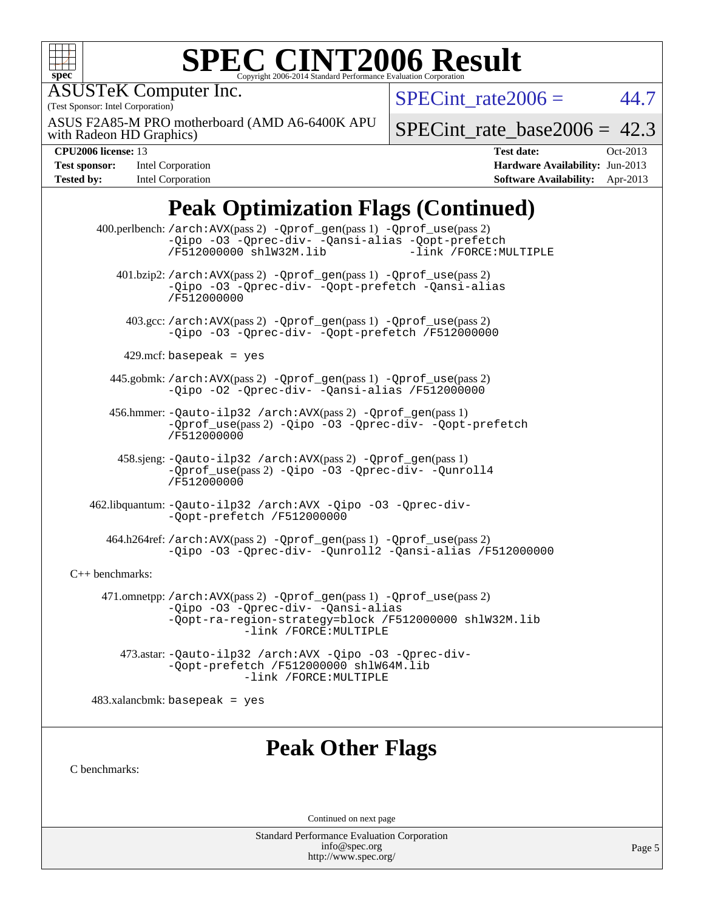

#### **[SPEC CINT2006 Result](http://www.spec.org/auto/cpu2006/Docs/result-fields.html#SPECCINT2006Result)** Copyright 2006-2014 Standard Performance Evaluation C

ASUSTeK Computer Inc.

(Test Sponsor: Intel Corporation)

with Radeon HD Graphics) ASUS F2A85-M PRO motherboard (AMD A6-6400K APU SPECint rate $2006 = 44.7$ 

[SPECint\\_rate\\_base2006 =](http://www.spec.org/auto/cpu2006/Docs/result-fields.html#SPECintratebase2006) 42.3

| <b>Test sponsor:</b> | <b>Intel Corporation</b> |
|----------------------|--------------------------|
| <b>Tested by:</b>    | Intel Corporation        |

**[CPU2006 license:](http://www.spec.org/auto/cpu2006/Docs/result-fields.html#CPU2006license)** 13 **[Test date:](http://www.spec.org/auto/cpu2006/Docs/result-fields.html#Testdate)** Oct-2013 **[Hardware Availability:](http://www.spec.org/auto/cpu2006/Docs/result-fields.html#HardwareAvailability)** Jun-2013 **[Software Availability:](http://www.spec.org/auto/cpu2006/Docs/result-fields.html#SoftwareAvailability)** Apr-2013

# **[Peak Optimization Flags \(Continued\)](http://www.spec.org/auto/cpu2006/Docs/result-fields.html#PeakOptimizationFlags)**

 400.perlbench: [/arch:AVX](http://www.spec.org/cpu2006/results/res2014q3/cpu2006-20140630-30092.flags.html#user_peakPASS2_CFLAGSPASS2_LDFLAGS400_perlbench_f-archAVX_e8ab52e15dc7c67e0682fc680b79ed94)(pass 2) [-Qprof\\_gen](http://www.spec.org/cpu2006/results/res2014q3/cpu2006-20140630-30092.flags.html#user_peakPASS1_CFLAGSPASS1_LDFLAGS400_perlbench_Qprof_gen)(pass 1) [-Qprof\\_use](http://www.spec.org/cpu2006/results/res2014q3/cpu2006-20140630-30092.flags.html#user_peakPASS2_CFLAGSPASS2_LDFLAGS400_perlbench_Qprof_use)(pass 2) [-Qipo](http://www.spec.org/cpu2006/results/res2014q3/cpu2006-20140630-30092.flags.html#user_peakOPTIMIZE400_perlbench_f-Qipo) [-O3](http://www.spec.org/cpu2006/results/res2014q3/cpu2006-20140630-30092.flags.html#user_peakOPTIMIZE400_perlbench_f-O3) [-Qprec-div-](http://www.spec.org/cpu2006/results/res2014q3/cpu2006-20140630-30092.flags.html#user_peakOPTIMIZE400_perlbench_f-Qprec-div-) [-Qansi-alias](http://www.spec.org/cpu2006/results/res2014q3/cpu2006-20140630-30092.flags.html#user_peakOPTIMIZE400_perlbench_f-Qansi-alias) [-Qopt-prefetch](http://www.spec.org/cpu2006/results/res2014q3/cpu2006-20140630-30092.flags.html#user_peakOPTIMIZE400_perlbench_f-Qprefetch_37c211608666b9dff9380561f602f0a8) [/F512000000](http://www.spec.org/cpu2006/results/res2014q3/cpu2006-20140630-30092.flags.html#user_peakEXTRA_LDFLAGS400_perlbench_set_stack_space_98438a10eb60aa5f35f4c79d9b9b27b1) [shlW32M.lib](http://www.spec.org/cpu2006/results/res2014q3/cpu2006-20140630-30092.flags.html#user_peakEXTRA_LIBS400_perlbench_SmartHeap32_d106338dfda1a055705c9b519e07f096) 401.bzip2: [/arch:AVX](http://www.spec.org/cpu2006/results/res2014q3/cpu2006-20140630-30092.flags.html#user_peakPASS2_CFLAGSPASS2_LDFLAGS401_bzip2_f-archAVX_e8ab52e15dc7c67e0682fc680b79ed94)(pass 2) [-Qprof\\_gen](http://www.spec.org/cpu2006/results/res2014q3/cpu2006-20140630-30092.flags.html#user_peakPASS1_CFLAGSPASS1_LDFLAGS401_bzip2_Qprof_gen)(pass 1) [-Qprof\\_use](http://www.spec.org/cpu2006/results/res2014q3/cpu2006-20140630-30092.flags.html#user_peakPASS2_CFLAGSPASS2_LDFLAGS401_bzip2_Qprof_use)(pass 2) [-Qipo](http://www.spec.org/cpu2006/results/res2014q3/cpu2006-20140630-30092.flags.html#user_peakOPTIMIZE401_bzip2_f-Qipo) [-O3](http://www.spec.org/cpu2006/results/res2014q3/cpu2006-20140630-30092.flags.html#user_peakOPTIMIZE401_bzip2_f-O3) [-Qprec-div-](http://www.spec.org/cpu2006/results/res2014q3/cpu2006-20140630-30092.flags.html#user_peakOPTIMIZE401_bzip2_f-Qprec-div-) [-Qopt-prefetch](http://www.spec.org/cpu2006/results/res2014q3/cpu2006-20140630-30092.flags.html#user_peakOPTIMIZE401_bzip2_f-Qprefetch_37c211608666b9dff9380561f602f0a8) [-Qansi-alias](http://www.spec.org/cpu2006/results/res2014q3/cpu2006-20140630-30092.flags.html#user_peakOPTIMIZE401_bzip2_f-Qansi-alias) [/F512000000](http://www.spec.org/cpu2006/results/res2014q3/cpu2006-20140630-30092.flags.html#user_peakEXTRA_LDFLAGS401_bzip2_set_stack_space_98438a10eb60aa5f35f4c79d9b9b27b1) 403.gcc: [/arch:AVX](http://www.spec.org/cpu2006/results/res2014q3/cpu2006-20140630-30092.flags.html#user_peakPASS2_CFLAGSPASS2_LDFLAGS403_gcc_f-archAVX_e8ab52e15dc7c67e0682fc680b79ed94)(pass 2) [-Qprof\\_gen](http://www.spec.org/cpu2006/results/res2014q3/cpu2006-20140630-30092.flags.html#user_peakPASS1_CFLAGSPASS1_LDFLAGS403_gcc_Qprof_gen)(pass 1) [-Qprof\\_use](http://www.spec.org/cpu2006/results/res2014q3/cpu2006-20140630-30092.flags.html#user_peakPASS2_CFLAGSPASS2_LDFLAGS403_gcc_Qprof_use)(pass 2) [-Qipo](http://www.spec.org/cpu2006/results/res2014q3/cpu2006-20140630-30092.flags.html#user_peakOPTIMIZE403_gcc_f-Qipo) [-O3](http://www.spec.org/cpu2006/results/res2014q3/cpu2006-20140630-30092.flags.html#user_peakOPTIMIZE403_gcc_f-O3) [-Qprec-div-](http://www.spec.org/cpu2006/results/res2014q3/cpu2006-20140630-30092.flags.html#user_peakOPTIMIZE403_gcc_f-Qprec-div-) [-Qopt-prefetch](http://www.spec.org/cpu2006/results/res2014q3/cpu2006-20140630-30092.flags.html#user_peakOPTIMIZE403_gcc_f-Qprefetch_37c211608666b9dff9380561f602f0a8) [/F512000000](http://www.spec.org/cpu2006/results/res2014q3/cpu2006-20140630-30092.flags.html#user_peakEXTRA_LDFLAGS403_gcc_set_stack_space_98438a10eb60aa5f35f4c79d9b9b27b1)  $429$ .mcf: basepeak = yes 445.gobmk: [/arch:AVX](http://www.spec.org/cpu2006/results/res2014q3/cpu2006-20140630-30092.flags.html#user_peakPASS2_CFLAGSPASS2_LDFLAGS445_gobmk_f-archAVX_e8ab52e15dc7c67e0682fc680b79ed94)(pass 2) [-Qprof\\_gen](http://www.spec.org/cpu2006/results/res2014q3/cpu2006-20140630-30092.flags.html#user_peakPASS1_CFLAGSPASS1_LDFLAGS445_gobmk_Qprof_gen)(pass 1) [-Qprof\\_use](http://www.spec.org/cpu2006/results/res2014q3/cpu2006-20140630-30092.flags.html#user_peakPASS2_CFLAGSPASS2_LDFLAGS445_gobmk_Qprof_use)(pass 2) [-Qipo](http://www.spec.org/cpu2006/results/res2014q3/cpu2006-20140630-30092.flags.html#user_peakOPTIMIZE445_gobmk_f-Qipo) [-O2](http://www.spec.org/cpu2006/results/res2014q3/cpu2006-20140630-30092.flags.html#user_peakOPTIMIZE445_gobmk_f-O2) [-Qprec-div-](http://www.spec.org/cpu2006/results/res2014q3/cpu2006-20140630-30092.flags.html#user_peakOPTIMIZE445_gobmk_f-Qprec-div-) [-Qansi-alias](http://www.spec.org/cpu2006/results/res2014q3/cpu2006-20140630-30092.flags.html#user_peakOPTIMIZE445_gobmk_f-Qansi-alias) [/F512000000](http://www.spec.org/cpu2006/results/res2014q3/cpu2006-20140630-30092.flags.html#user_peakEXTRA_LDFLAGS445_gobmk_set_stack_space_98438a10eb60aa5f35f4c79d9b9b27b1) 456.hmmer: [-Qauto-ilp32](http://www.spec.org/cpu2006/results/res2014q3/cpu2006-20140630-30092.flags.html#user_peakCCLD456_hmmer_f-Qauto-ilp32) [/arch:AVX](http://www.spec.org/cpu2006/results/res2014q3/cpu2006-20140630-30092.flags.html#user_peakPASS2_CFLAGSPASS2_LDFLAGS456_hmmer_f-archAVX_e8ab52e15dc7c67e0682fc680b79ed94)(pass 2) [-Qprof\\_gen](http://www.spec.org/cpu2006/results/res2014q3/cpu2006-20140630-30092.flags.html#user_peakPASS1_CFLAGSPASS1_LDFLAGS456_hmmer_Qprof_gen)(pass 1) [-Qprof\\_use](http://www.spec.org/cpu2006/results/res2014q3/cpu2006-20140630-30092.flags.html#user_peakPASS2_CFLAGSPASS2_LDFLAGS456_hmmer_Qprof_use)(pass 2) [-Qipo](http://www.spec.org/cpu2006/results/res2014q3/cpu2006-20140630-30092.flags.html#user_peakOPTIMIZE456_hmmer_f-Qipo) [-O3](http://www.spec.org/cpu2006/results/res2014q3/cpu2006-20140630-30092.flags.html#user_peakOPTIMIZE456_hmmer_f-O3) [-Qprec-div-](http://www.spec.org/cpu2006/results/res2014q3/cpu2006-20140630-30092.flags.html#user_peakOPTIMIZE456_hmmer_f-Qprec-div-) [-Qopt-prefetch](http://www.spec.org/cpu2006/results/res2014q3/cpu2006-20140630-30092.flags.html#user_peakOPTIMIZE456_hmmer_f-Qprefetch_37c211608666b9dff9380561f602f0a8) [/F512000000](http://www.spec.org/cpu2006/results/res2014q3/cpu2006-20140630-30092.flags.html#user_peakEXTRA_LDFLAGS456_hmmer_set_stack_space_98438a10eb60aa5f35f4c79d9b9b27b1) 458.sjeng: [-Qauto-ilp32](http://www.spec.org/cpu2006/results/res2014q3/cpu2006-20140630-30092.flags.html#user_peakCCLD458_sjeng_f-Qauto-ilp32) [/arch:AVX](http://www.spec.org/cpu2006/results/res2014q3/cpu2006-20140630-30092.flags.html#user_peakPASS2_CFLAGSPASS2_LDFLAGS458_sjeng_f-archAVX_e8ab52e15dc7c67e0682fc680b79ed94)(pass 2) [-Qprof\\_gen](http://www.spec.org/cpu2006/results/res2014q3/cpu2006-20140630-30092.flags.html#user_peakPASS1_CFLAGSPASS1_LDFLAGS458_sjeng_Qprof_gen)(pass 1) [-Qprof\\_use](http://www.spec.org/cpu2006/results/res2014q3/cpu2006-20140630-30092.flags.html#user_peakPASS2_CFLAGSPASS2_LDFLAGS458_sjeng_Qprof_use)(pass 2) [-Qipo](http://www.spec.org/cpu2006/results/res2014q3/cpu2006-20140630-30092.flags.html#user_peakOPTIMIZE458_sjeng_f-Qipo) [-O3](http://www.spec.org/cpu2006/results/res2014q3/cpu2006-20140630-30092.flags.html#user_peakOPTIMIZE458_sjeng_f-O3) [-Qprec-div-](http://www.spec.org/cpu2006/results/res2014q3/cpu2006-20140630-30092.flags.html#user_peakOPTIMIZE458_sjeng_f-Qprec-div-) [-Qunroll4](http://www.spec.org/cpu2006/results/res2014q3/cpu2006-20140630-30092.flags.html#user_peakOPTIMIZE458_sjeng_f-Qunroll_013b1c0ea3aa84ef2c65e488bcc3d968) [/F512000000](http://www.spec.org/cpu2006/results/res2014q3/cpu2006-20140630-30092.flags.html#user_peakEXTRA_LDFLAGS458_sjeng_set_stack_space_98438a10eb60aa5f35f4c79d9b9b27b1) 462.libquantum: [-Qauto-ilp32](http://www.spec.org/cpu2006/results/res2014q3/cpu2006-20140630-30092.flags.html#user_peakCCLD462_libquantum_f-Qauto-ilp32) [/arch:AVX](http://www.spec.org/cpu2006/results/res2014q3/cpu2006-20140630-30092.flags.html#user_peakOPTIMIZE462_libquantum_f-archAVX_e8ab52e15dc7c67e0682fc680b79ed94) [-Qipo](http://www.spec.org/cpu2006/results/res2014q3/cpu2006-20140630-30092.flags.html#user_peakOPTIMIZE462_libquantum_f-Qipo) [-O3](http://www.spec.org/cpu2006/results/res2014q3/cpu2006-20140630-30092.flags.html#user_peakOPTIMIZE462_libquantum_f-O3) [-Qprec-div-](http://www.spec.org/cpu2006/results/res2014q3/cpu2006-20140630-30092.flags.html#user_peakOPTIMIZE462_libquantum_f-Qprec-div-) [-Qopt-prefetch](http://www.spec.org/cpu2006/results/res2014q3/cpu2006-20140630-30092.flags.html#user_peakOPTIMIZE462_libquantum_f-Qprefetch_37c211608666b9dff9380561f602f0a8) [/F512000000](http://www.spec.org/cpu2006/results/res2014q3/cpu2006-20140630-30092.flags.html#user_peakEXTRA_LDFLAGS462_libquantum_set_stack_space_98438a10eb60aa5f35f4c79d9b9b27b1) 464.h264ref: [/arch:AVX](http://www.spec.org/cpu2006/results/res2014q3/cpu2006-20140630-30092.flags.html#user_peakPASS2_CFLAGSPASS2_LDFLAGS464_h264ref_f-archAVX_e8ab52e15dc7c67e0682fc680b79ed94)(pass 2) [-Qprof\\_gen](http://www.spec.org/cpu2006/results/res2014q3/cpu2006-20140630-30092.flags.html#user_peakPASS1_CFLAGSPASS1_LDFLAGS464_h264ref_Qprof_gen)(pass 1) [-Qprof\\_use](http://www.spec.org/cpu2006/results/res2014q3/cpu2006-20140630-30092.flags.html#user_peakPASS2_CFLAGSPASS2_LDFLAGS464_h264ref_Qprof_use)(pass 2) [-Qipo](http://www.spec.org/cpu2006/results/res2014q3/cpu2006-20140630-30092.flags.html#user_peakOPTIMIZE464_h264ref_f-Qipo) [-O3](http://www.spec.org/cpu2006/results/res2014q3/cpu2006-20140630-30092.flags.html#user_peakOPTIMIZE464_h264ref_f-O3) [-Qprec-div-](http://www.spec.org/cpu2006/results/res2014q3/cpu2006-20140630-30092.flags.html#user_peakOPTIMIZE464_h264ref_f-Qprec-div-) [-Qunroll2](http://www.spec.org/cpu2006/results/res2014q3/cpu2006-20140630-30092.flags.html#user_peakOPTIMIZE464_h264ref_f-Qunroll_1d9456aa650e77fc2a0cf43cef3fa08c) [-Qansi-alias](http://www.spec.org/cpu2006/results/res2014q3/cpu2006-20140630-30092.flags.html#user_peakOPTIMIZE464_h264ref_f-Qansi-alias) [/F512000000](http://www.spec.org/cpu2006/results/res2014q3/cpu2006-20140630-30092.flags.html#user_peakEXTRA_LDFLAGS464_h264ref_set_stack_space_98438a10eb60aa5f35f4c79d9b9b27b1) [C++ benchmarks:](http://www.spec.org/auto/cpu2006/Docs/result-fields.html#CXXbenchmarks) 471.omnetpp: [/arch:AVX](http://www.spec.org/cpu2006/results/res2014q3/cpu2006-20140630-30092.flags.html#user_peakPASS2_CXXFLAGSPASS2_LDFLAGS471_omnetpp_f-archAVX_e8ab52e15dc7c67e0682fc680b79ed94)(pass 2) [-Qprof\\_gen](http://www.spec.org/cpu2006/results/res2014q3/cpu2006-20140630-30092.flags.html#user_peakPASS1_CXXFLAGSPASS1_LDFLAGS471_omnetpp_Qprof_gen)(pass 1) [-Qprof\\_use](http://www.spec.org/cpu2006/results/res2014q3/cpu2006-20140630-30092.flags.html#user_peakPASS2_CXXFLAGSPASS2_LDFLAGS471_omnetpp_Qprof_use)(pass 2) [-Qipo](http://www.spec.org/cpu2006/results/res2014q3/cpu2006-20140630-30092.flags.html#user_peakOPTIMIZE471_omnetpp_f-Qipo) [-O3](http://www.spec.org/cpu2006/results/res2014q3/cpu2006-20140630-30092.flags.html#user_peakOPTIMIZE471_omnetpp_f-O3) [-Qprec-div-](http://www.spec.org/cpu2006/results/res2014q3/cpu2006-20140630-30092.flags.html#user_peakOPTIMIZE471_omnetpp_f-Qprec-div-) [-Qansi-alias](http://www.spec.org/cpu2006/results/res2014q3/cpu2006-20140630-30092.flags.html#user_peakOPTIMIZE471_omnetpp_f-Qansi-alias) [-Qopt-ra-region-strategy=block](http://www.spec.org/cpu2006/results/res2014q3/cpu2006-20140630-30092.flags.html#user_peakOPTIMIZE471_omnetpp_f-Qopt-ra-region-strategy_d2240e80a5d9053a1fd400255dbf4159) [/F512000000](http://www.spec.org/cpu2006/results/res2014q3/cpu2006-20140630-30092.flags.html#user_peakEXTRA_LDFLAGS471_omnetpp_set_stack_space_98438a10eb60aa5f35f4c79d9b9b27b1) [shlW32M.lib](http://www.spec.org/cpu2006/results/res2014q3/cpu2006-20140630-30092.flags.html#user_peakEXTRA_LIBS471_omnetpp_SmartHeap32_d106338dfda1a055705c9b519e07f096)  [-link /FORCE:MULTIPLE](http://www.spec.org/cpu2006/results/res2014q3/cpu2006-20140630-30092.flags.html#user_peakLDOUT471_omnetpp_link_force_multiple2_070fe330869edf77077b841074b8b0b6) 473.astar: [-Qauto-ilp32](http://www.spec.org/cpu2006/results/res2014q3/cpu2006-20140630-30092.flags.html#user_peakCXXLD473_astar_f-Qauto-ilp32) [/arch:AVX](http://www.spec.org/cpu2006/results/res2014q3/cpu2006-20140630-30092.flags.html#user_peakOPTIMIZE473_astar_f-archAVX_e8ab52e15dc7c67e0682fc680b79ed94) [-Qipo](http://www.spec.org/cpu2006/results/res2014q3/cpu2006-20140630-30092.flags.html#user_peakOPTIMIZE473_astar_f-Qipo) [-O3](http://www.spec.org/cpu2006/results/res2014q3/cpu2006-20140630-30092.flags.html#user_peakOPTIMIZE473_astar_f-O3) [-Qprec-div-](http://www.spec.org/cpu2006/results/res2014q3/cpu2006-20140630-30092.flags.html#user_peakOPTIMIZE473_astar_f-Qprec-div-)

[-Qopt-prefetch](http://www.spec.org/cpu2006/results/res2014q3/cpu2006-20140630-30092.flags.html#user_peakOPTIMIZE473_astar_f-Qprefetch_37c211608666b9dff9380561f602f0a8) [/F512000000](http://www.spec.org/cpu2006/results/res2014q3/cpu2006-20140630-30092.flags.html#user_peakEXTRA_LDFLAGS473_astar_set_stack_space_98438a10eb60aa5f35f4c79d9b9b27b1) [shlW64M.lib](http://www.spec.org/cpu2006/results/res2014q3/cpu2006-20140630-30092.flags.html#user_peakEXTRA_LIBS473_astar_SmartHeap64_c4f7f76711bdf8c0633a5c1edf6e5396)  [-link /FORCE:MULTIPLE](http://www.spec.org/cpu2006/results/res2014q3/cpu2006-20140630-30092.flags.html#user_peakLDOUT473_astar_link_force_multiple2_070fe330869edf77077b841074b8b0b6)

 $483.xalanchmk: basepeak = yes$ 

# **[Peak Other Flags](http://www.spec.org/auto/cpu2006/Docs/result-fields.html#PeakOtherFlags)**

[C benchmarks](http://www.spec.org/auto/cpu2006/Docs/result-fields.html#Cbenchmarks):

Continued on next page

Standard Performance Evaluation Corporation [info@spec.org](mailto:info@spec.org) <http://www.spec.org/>